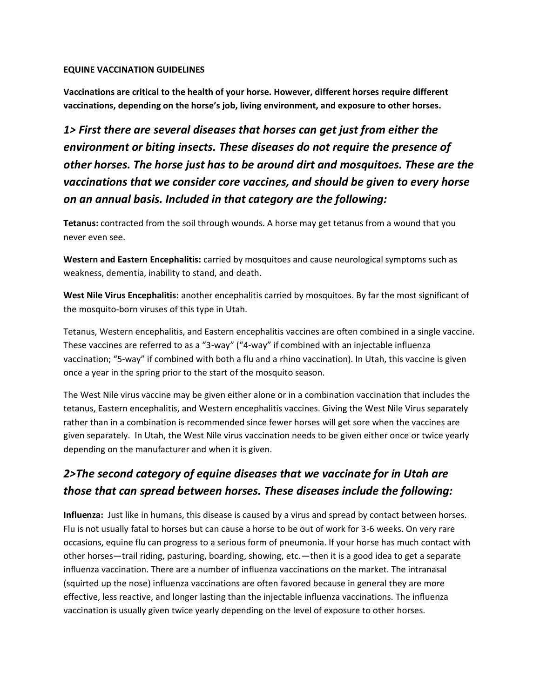## **EQUINE VACCINATION GUIDELINES**

**Vaccinations are critical to the health of your horse. However, different horses require different vaccinations, depending on the horse's job, living environment, and exposure to other horses.**

*1> First there are several diseases that horses can get just from either the environment or biting insects. These diseases do not require the presence of other horses. The horse just has to be around dirt and mosquitoes. These are the vaccinations that we consider core vaccines, and should be given to every horse on an annual basis. Included in that category are the following:*

**Tetanus:** contracted from the soil through wounds. A horse may get tetanus from a wound that you never even see.

**Western and Eastern Encephalitis:** carried by mosquitoes and cause neurological symptoms such as weakness, dementia, inability to stand, and death.

**West Nile Virus Encephalitis:** another encephalitis carried by mosquitoes. By far the most significant of the mosquito-born viruses of this type in Utah.

Tetanus, Western encephalitis, and Eastern encephalitis vaccines are often combined in a single vaccine. These vaccines are referred to as a "3-way" ("4-way" if combined with an injectable influenza vaccination; "5-way" if combined with both a flu and a rhino vaccination). In Utah, this vaccine is given once a year in the spring prior to the start of the mosquito season.

The West Nile virus vaccine may be given either alone or in a combination vaccination that includes the tetanus, Eastern encephalitis, and Western encephalitis vaccines. Giving the West Nile Virus separately rather than in a combination is recommended since fewer horses will get sore when the vaccines are given separately. In Utah, the West Nile virus vaccination needs to be given either once or twice yearly depending on the manufacturer and when it is given.

## *2>The second category of equine diseases that we vaccinate for in Utah are those that can spread between horses. These diseases include the following:*

**Influenza:** Just like in humans, this disease is caused by a virus and spread by contact between horses. Flu is not usually fatal to horses but can cause a horse to be out of work for 3-6 weeks. On very rare occasions, equine flu can progress to a serious form of pneumonia. If your horse has much contact with other horses—trail riding, pasturing, boarding, showing, etc.—then it is a good idea to get a separate influenza vaccination. There are a number of influenza vaccinations on the market. The intranasal (squirted up the nose) influenza vaccinations are often favored because in general they are more effective, less reactive, and longer lasting than the injectable influenza vaccinations. The influenza vaccination is usually given twice yearly depending on the level of exposure to other horses.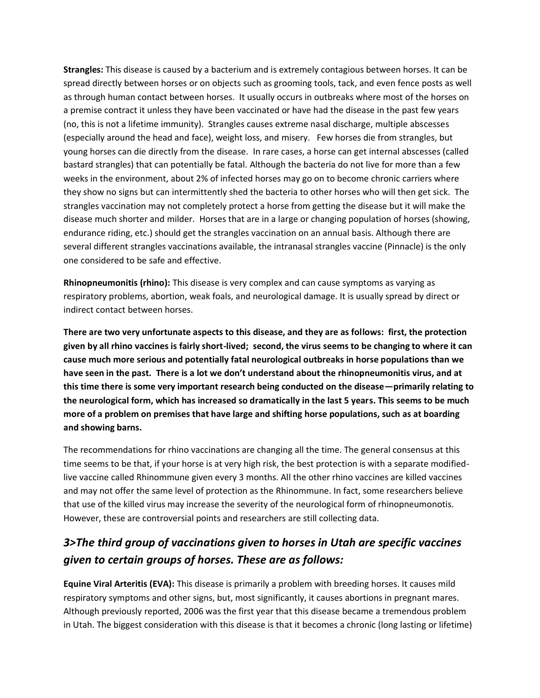**Strangles:** This disease is caused by a bacterium and is extremely contagious between horses. It can be spread directly between horses or on objects such as grooming tools, tack, and even fence posts as well as through human contact between horses. It usually occurs in outbreaks where most of the horses on a premise contract it unless they have been vaccinated or have had the disease in the past few years (no, this is not a lifetime immunity). Strangles causes extreme nasal discharge, multiple abscesses (especially around the head and face), weight loss, and misery. Few horses die from strangles, but young horses can die directly from the disease. In rare cases, a horse can get internal abscesses (called bastard strangles) that can potentially be fatal. Although the bacteria do not live for more than a few weeks in the environment, about 2% of infected horses may go on to become chronic carriers where they show no signs but can intermittently shed the bacteria to other horses who will then get sick. The strangles vaccination may not completely protect a horse from getting the disease but it will make the disease much shorter and milder. Horses that are in a large or changing population of horses (showing, endurance riding, etc.) should get the strangles vaccination on an annual basis. Although there are several different strangles vaccinations available, the intranasal strangles vaccine (Pinnacle) is the only one considered to be safe and effective.

**Rhinopneumonitis (rhino):** This disease is very complex and can cause symptoms as varying as respiratory problems, abortion, weak foals, and neurological damage. It is usually spread by direct or indirect contact between horses.

**There are two very unfortunate aspects to this disease, and they are as follows: first, the protection given by all rhino vaccines is fairly short-lived; second, the virus seems to be changing to where it can cause much more serious and potentially fatal neurological outbreaks in horse populations than we have seen in the past. There is a lot we don't understand about the rhinopneumonitis virus, and at this time there is some very important research being conducted on the disease—primarily relating to the neurological form, which has increased so dramatically in the last 5 years. This seems to be much more of a problem on premises that have large and shifting horse populations, such as at boarding and showing barns.**

The recommendations for rhino vaccinations are changing all the time. The general consensus at this time seems to be that, if your horse is at very high risk, the best protection is with a separate modifiedlive vaccine called Rhinommune given every 3 months. All the other rhino vaccines are killed vaccines and may not offer the same level of protection as the Rhinommune. In fact, some researchers believe that use of the killed virus may increase the severity of the neurological form of rhinopneumonotis. However, these are controversial points and researchers are still collecting data.

## *3>The third group of vaccinations given to horses in Utah are specific vaccines given to certain groups of horses. These are as follows:*

**Equine Viral Arteritis (EVA):** This disease is primarily a problem with breeding horses. It causes mild respiratory symptoms and other signs, but, most significantly, it causes abortions in pregnant mares. Although previously reported, 2006 was the first year that this disease became a tremendous problem in Utah. The biggest consideration with this disease is that it becomes a chronic (long lasting or lifetime)